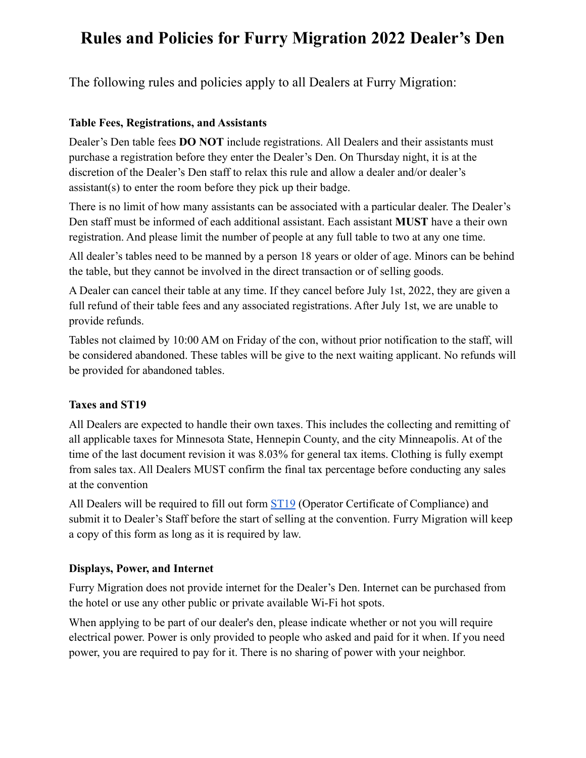## **Rules and Policies for Furry Migration 2022 Dealer's Den**

The following rules and policies apply to all Dealers at Furry Migration:

#### **Table Fees, Registrations, and Assistants**

Dealer's Den table fees **DO NOT** include registrations. All Dealers and their assistants must purchase a registration before they enter the Dealer's Den. On Thursday night, it is at the discretion of the Dealer's Den staff to relax this rule and allow a dealer and/or dealer's assistant(s) to enter the room before they pick up their badge.

There is no limit of how many assistants can be associated with a particular dealer. The Dealer's Den staff must be informed of each additional assistant. Each assistant **MUST** have a their own registration. And please limit the number of people at any full table to two at any one time.

All dealer's tables need to be manned by a person 18 years or older of age. Minors can be behind the table, but they cannot be involved in the direct transaction or of selling goods.

A Dealer can cancel their table at any time. If they cancel before July 1st, 2022, they are given a full refund of their table fees and any associated registrations. After July 1st, we are unable to provide refunds.

Tables not claimed by 10:00 AM on Friday of the con, without prior notification to the staff, will be considered abandoned. These tables will be give to the next waiting applicant. No refunds will be provided for abandoned tables.

### **Taxes and ST19**

All Dealers are expected to handle their own taxes. This includes the collecting and remitting of all applicable taxes for Minnesota State, Hennepin County, and the city Minneapolis. At of the time of the last document revision it was 8.03% for general tax items. Clothing is fully exempt from sales tax. All Dealers MUST confirm the final tax percentage before conducting any sales at the convention

All Dealers will be required to fill out form [ST19](https://www.revenue.state.mn.us/sites/default/files/2011-11/st19.pdf) (Operator Certificate of Compliance) and submit it to Dealer's Staff before the start of selling at the convention. Furry Migration will keep a copy of this form as long as it is required by law.

#### **Displays, Power, and Internet**

Furry Migration does not provide internet for the Dealer's Den. Internet can be purchased from the hotel or use any other public or private available Wi-Fi hot spots.

When applying to be part of our dealer's den, please indicate whether or not you will require electrical power. Power is only provided to people who asked and paid for it when. If you need power, you are required to pay for it. There is no sharing of power with your neighbor.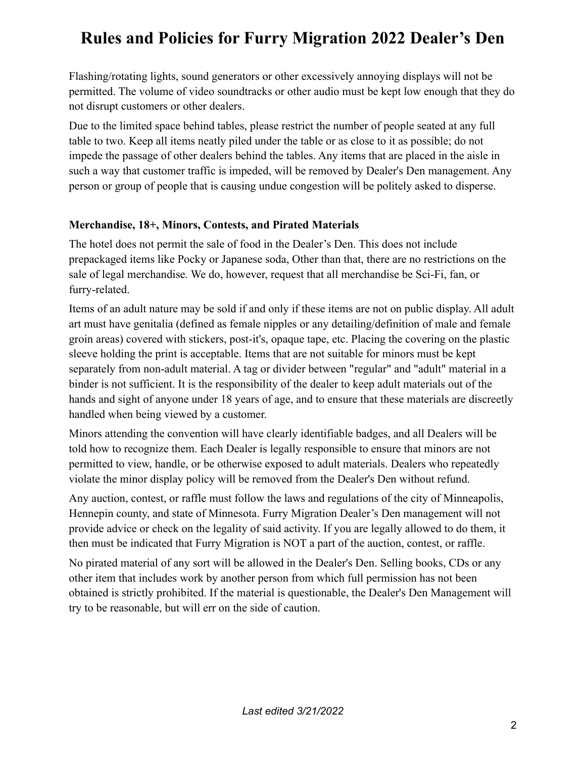## **Rules and Policies for Furry Migration 2022 Dealer's Den**

Flashing/rotating lights, sound generators or other excessively annoying displays will not be permitted. The volume of video soundtracks or other audio must be kept low enough that they do not disrupt customers or other dealers.

Due to the limited space behind tables, please restrict the number of people seated at any full table to two. Keep all items neatly piled under the table or as close to it as possible; do not impede the passage of other dealers behind the tables. Any items that are placed in the aisle in such a way that customer traffic is impeded, will be removed by Dealer's Den management. Any person or group of people that is causing undue congestion will be politely asked to disperse.

#### **Merchandise, 18+, Minors, Contests, and Pirated Materials**

The hotel does not permit the sale of food in the Dealer's Den. This does not include prepackaged items like Pocky or Japanese soda, Other than that, there are no restrictions on the sale of legal merchandise. We do, however, request that all merchandise be Sci-Fi, fan, or furry-related.

Items of an adult nature may be sold if and only if these items are not on public display. All adult art must have genitalia (defined as female nipples or any detailing/definition of male and female groin areas) covered with stickers, post-it's, opaque tape, etc. Placing the covering on the plastic sleeve holding the print is acceptable. Items that are not suitable for minors must be kept separately from non-adult material. A tag or divider between "regular" and "adult" material in a binder is not sufficient. It is the responsibility of the dealer to keep adult materials out of the hands and sight of anyone under 18 years of age, and to ensure that these materials are discreetly handled when being viewed by a customer.

Minors attending the convention will have clearly identifiable badges, and all Dealers will be told how to recognize them. Each Dealer is legally responsible to ensure that minors are not permitted to view, handle, or be otherwise exposed to adult materials. Dealers who repeatedly violate the minor display policy will be removed from the Dealer's Den without refund.

Any auction, contest, or raffle must follow the laws and regulations of the city of Minneapolis, Hennepin county, and state of Minnesota. Furry Migration Dealer's Den management will not provide advice or check on the legality of said activity. If you are legally allowed to do them, it then must be indicated that Furry Migration is NOT a part of the auction, contest, or raffle.

No pirated material of any sort will be allowed in the Dealer's Den. Selling books, CDs or any other item that includes work by another person from which full permission has not been obtained is strictly prohibited. If the material is questionable, the Dealer's Den Management will try to be reasonable, but will err on the side of caution.